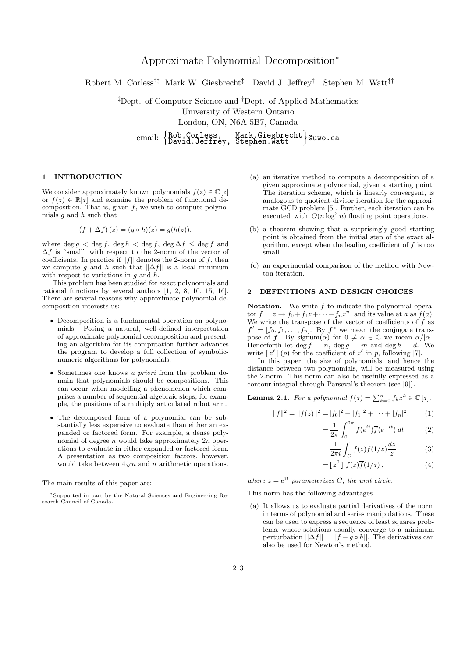# Approximate Polynomial Decomposition<sup>∗</sup>

Robert M. Corless†‡ Mark W. Giesbrecht‡ David J. Jeffrey† Stephen M. Watt‡†

‡Dept. of Computer Science and †Dept. of Applied Mathematics University of Western Ontario London, ON, N6A 5B7, Canada email: {Rob.Corless, Mark.Giesbrecht}@uwo.ca<br>David.Jeffrey, Stephen.Watt

## 1 INTRODUCTION

We consider approximately known polynomials  $f(z) \in \mathbb{C} [z]$ or  $f(z) \in \mathbb{R}[z]$  and examine the problem of functional decomposition. That is, given  $f$ , we wish to compute polynomials  $g$  and  $h$  such that

$$
(f + \Delta f)(z) = (g \circ h)(z) = g(h(z)),
$$

where deg  $q < \deg f$ ,  $\deg h < \deg f$ ,  $\deg \Delta f \leq \deg f$  and  $\Delta f$  is "small" with respect to the 2-norm of the vector of coefficients. In practice if  $||f||$  denotes the 2-norm of f, then we compute g and h such that  $\|\Delta f\|$  is a local minimum with respect to variations in  $q$  and  $h$ .

This problem has been studied for exact polynomials and rational functions by several authors [1, 2, 8, 10, 15, 16]. There are several reasons why approximate polynomial decomposition interests us:

- Decomposition is a fundamental operation on polynomials. Posing a natural, well-defined interpretation of approximate polynomial decomposition and presenting an algorithm for its computation further advances the program to develop a full collection of symbolicnumeric algorithms for polynomials.
- Sometimes one knows a priori from the problem domain that polynomials should be compositions. This can occur when modelling a phenomenon which comprises a number of sequential algebraic steps, for example, the positions of a multiply articulated robot arm.
- The decomposed form of a polynomial can be substantially less expensive to evaluate than either an expanded or factored form. For example, a dense polynomial of degree  $n$  would take approximately  $2n$  operations to evaluate in either expanded or factored form. A presentation as two composition factors, however, A presentation as two composition ractors, nowever, would take between  $4\sqrt{n}$  and n arithmetic operations.

The main results of this paper are:

- (a) an iterative method to compute a decomposition of a given approximate polynomial, given a starting point. The iteration scheme, which is linearly convergent, is analogous to quotient-divisor iteration for the approximate GCD problem [5]. Further, each iteration can be executed with  $O(n \log^2 n)$  floating point operations.
- (b) a theorem showing that a surprisingly good starting point is obtained from the initial step of the exact algorithm, except when the leading coefficient of  $f$  is too small.
- (c) an experimental comparison of the method with Newton iteration.

## 2 DEFINITIONS AND DESIGN CHOICES

**Notation.** We write  $f$  to indicate the polynomial operator  $f = z \rightarrow f_0 + f_1 z + \cdots + f_n z^n$ , and its value at a as  $f(a)$ . We write the transpose of the vector of coefficients of  $\hat{f}$  as  $f^t = [f_0, f_1, \ldots, f_n]$ . By  $f^*$  we mean the conjugate transpose of f. By signum( $\alpha$ ) for  $0 \neq \alpha \in \mathbb{C}$  we mean  $\alpha/|\alpha|$ . Henceforth let deg  $f = n$ , deg  $g = m$  and deg  $h = d$ . We write  $[z^{\ell}](p)$  for the coefficient of  $z^{\ell}$  in p, following [7].

In this paper, the size of polynomials, and hence the distance between two polynomials, will be measured using the 2-norm. This norm can also be usefully expressed as a contour integral through Parseval's theorem (see [9]).

**Lemma 2.1.** For a polynomial  $f(z) = \sum_{k=0}^{n} f_k z^k \in \mathbb{C} [z]$ ,

$$
||f||2 = ||f(z)||2 = |f0|2 + |f1|2 + \dots + |fn|2,
$$
 (1)

$$
=\frac{1}{2\pi}\int_0^{2\pi}f(e^{it})\overline{f}(e^{-it})\,dt\qquad \qquad (2)
$$

$$
=\frac{1}{2\pi i}\int_C f(z)\overline{f}(1/z)\frac{dz}{z}
$$
 (3)

$$
= [z0] f(z)\overline{f}(1/z) , \qquad (4)
$$

where  $z = e^{it}$  parameterizes C, the unit circle.

This norm has the following advantages.

(a) It allows us to evaluate partial derivatives of the norm in terms of polynomial and series manipulations. These can be used to express a sequence of least squares problems, whose solutions usually converge to a minimum perturbation  $||\Delta f|| = ||f - g \circ h||$ . The derivatives can also be used for Newton's method.

<sup>∗</sup>Supported in part by the Natural Sciences and Engineering Research Council of Canada.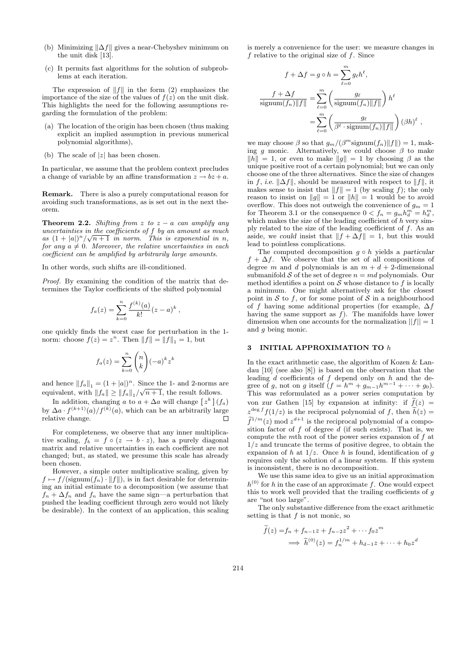- (b) Minimizing  $\|\Delta f\|$  gives a near-Chebyshev minimum on the unit disk [13].
- (c) It permits fast algorithms for the solution of subproblems at each iteration.

The expression of  $||f||$  in the form (2) emphasizes the importance of the size of the values of  $f(z)$  on the unit disk. This highlights the need for the following assumptions regarding the formulation of the problem:

- (a) The location of the origin has been chosen (thus making explicit an implied assumption in previous numerical polynomial algorithms),
- (b) The scale of  $|z|$  has been chosen.

In particular, we assume that the problem context precludes a change of variable by an affine transformation  $z \to bz + a$ .

Remark. There is also a purely computational reason for avoiding such transformations, as is set out in the next theorem.

**Theorem 2.2.** Shifting from z to  $z - a$  can amplify any uncertainties in the coefficients of  $f$  by an amount as much as  $(1+|a|)^n/\sqrt{n+1}$  in norm. This is exponential in n, for any  $a \neq 0$ . Moreover, the relative uncertainties in each coefficient can be amplified by arbitrarily large amounts.

In other words, such shifts are ill-conditioned.

Proof. By examining the condition of the matrix that determines the Taylor coefficients of the shifted polynomial

$$
f_a(z) = \sum_{k=0}^n \frac{f^{(k)}(a)}{k!} (z - a)^k,
$$

one quickly finds the worst case for perturbation in the 1 norm: choose  $f(z) = z^n$ . Then  $||f|| = ||f||_1 = 1$ , but

$$
f_a(z) = \sum_{k=0}^n \binom{n}{k} (-a)^k z^k
$$

and hence  $||f_a||_1 = (1 + |a|)^n$ . Since the 1- and 2-norms are equivalent, with  $||f_a|| \ge ||f_a||_1 / \sqrt{n+1}$ , the result follows.

In addition, changing a to  $a + \Delta a$  will change  $[z^k](f_a)$ by  $\Delta a \cdot f^{(k+1)}(a)/f^{(k)}(a)$ , which can be an arbitrarily large relative change.

For completeness, we observe that any inner multiplicative scaling,  $f_b = f \circ (z \to b \cdot z)$ , has a purely diagonal matrix and relative uncertainties in each coefficient are not changed; but, as stated, we presume this scale has already been chosen.

However, a simple outer multiplicative scaling, given by  $f \mapsto f/(\text{signum}(f_n) \cdot ||f||)$ , is in fact desirable for determining an initial estimate to a decomposition (we assume that  $f_n + \Delta f_n$  and  $f_n$  have the same sign—a perturbation that pushed the leading coefficient through zero would not likely be desirable). In the context of an application, this scaling is merely a convenience for the user: we measure changes in  $f$  relative to the original size of  $f$ . Since

$$
f + \Delta f = g \circ h = \sum_{\ell=0}^{m} g_{\ell} h^{\ell},
$$

$$
\frac{f + \Delta f}{\text{signum}(f_n) ||f||} = \sum_{\ell=0}^{m} \left( \frac{g_{\ell}}{\text{signum}(f_n) ||f||} \right) h^{\ell}
$$

$$
= \sum_{\ell=0}^{m} \left( \frac{g_{\ell}}{\beta^{\ell} \cdot \text{signum}(f_n) ||f||} \right) (\beta h)^{\ell},
$$

we may choose  $\beta$  so that  $g_m/(\beta^m \text{signum}(f_n) || f ||) = 1$ , making q monic. Alternatively, we could choose  $\beta$  to make  $||h|| = 1$ , or even to make  $||g|| = 1$  by choosing  $\beta$  as the unique positive root of a certain polynomial; but we can only choose one of the three alternatives. Since the size of changes in f, i.e.  $\|\Delta f\|$ , should be measured with respect to  $\|f\|$ , it makes sense to insist that  $||f|| = 1$  (by scaling f); the only reason to insist on  $||g|| = 1$  or  $||h|| = 1$  would be to avoid overflow. This does not outweigh the convenience of  $g_m = 1$ for Theorem 3.1 or the consequence  $0 < f_n = g_m h_d^m = h_d^m$ , which makes the size of the leading coefficient of  $h$  very simply related to the size of the leading coefficient of  $f$ . As an aside, we could insist that  $|| f + \Delta f || = 1$ , but this would lead to pointless complications.

The computed decomposition  $g \circ h$  yields a particular  $f + \Delta f$ . We observe that the set of all compositions of degree m and d polynomials is an  $m + d + 2$ -dimensional submanifold S of the set of degree  $n = md$  polynomials. Our method identifies a point on  $S$  whose distance to  $f$  is locally a minimum. One might alternatively ask for the closest point in  $S$  to  $f$ , or for some point of  $S$  in a neighbourhood of f having some additional properties (for example,  $\Delta f$ having the same support as  $f$ ). The manifolds have lower dimension when one accounts for the normalization  $||f|| = 1$ and g being monic.

## 3 INITIAL APPROXIMATION TO h

In the exact arithmetic case, the algorithm of Kozen & Landau [10] (see also [8]) is based on the observation that the leading  $d$  coefficients of  $f$  depend only on  $h$  and the degree of g, not on g itself  $(f = h^m + g_{m-1}h^{m-1} + \cdots + g_0)$ . This was reformulated as a power series computation by von zur Gathen [15] by expansion at infinity: if  $f(z) =$  $z^{\deg f} f(1/z)$  is the reciprocal polynomial of f, then  $h(z) = \tilde{z}$  $\tilde{f}^{1/m}(z)$  mod  $z^{d+1}$  is the reciprocal polynomial of a composition factor of  $f$  of degree  $d$  (if such exists). That is, we compute the mth root of the power series expansion of f at  $1/z$  and truncate the terms of positive degree, to obtain the expansion of h at  $1/z$ . Once h is found, identification of q requires only the solution of a linear system. If this system is inconsistent, there is no decomposition.

We use this same idea to give us an initial approximation  $h^{(0)}$  for h in the case of an approximate f. One would expect this to work well provided that the trailing coefficients of  $g$ are "not too large".

The only substantive difference from the exact arithmetic setting is that  $f$  is not monic, so

$$
\widetilde{f}(z) = f_n + f_{n-1}z + f_{n-2}z^2 + \cdots f_0z^m
$$
\n
$$
\implies \widetilde{h}^{(0)}(z) = f_n^{1/m} + h_{d-1}z + \cdots + h_0z^d
$$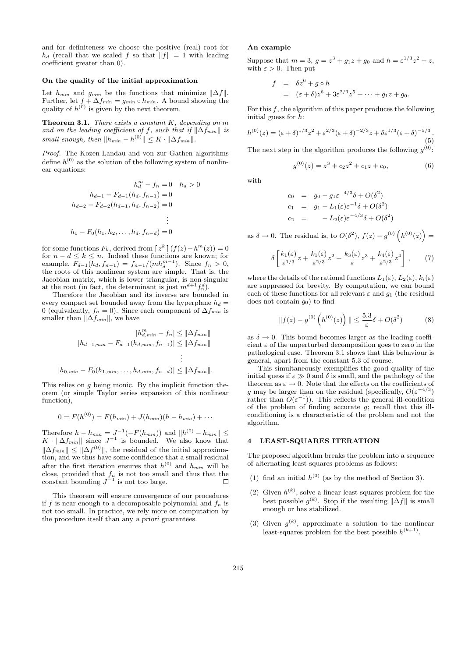and for definiteness we choose the positive (real) root for  $h_d$  (recall that we scaled f so that  $||f|| = 1$  with leading coefficient greater than 0).

## On the quality of the initial approximation

Let  $h_{min}$  and  $g_{min}$  be the functions that minimize  $||\Delta f||$ . Further, let  $f + \Delta f_{min} = g_{min} \circ h_{min}$ . A bound showing the quality of  $h^{(0)}$  is given by the next theorem.

**Theorem 3.1.** There exists a constant  $K$ , depending on  $m$ and on the leading coefficient of f, such that if  $\|\Delta f_{min}\|$  is small enough, then  $||h_{min} - h^{(0)}|| \leq K \cdot ||\Delta f_{min}||.$ 

Proof. The Kozen-Landau and von zur Gathen algorithms define  $h^{(0)}$  as the solution of the following system of nonlinear equations:

$$
h_d^m - f_n = 0 \quad h_d > 0
$$
  
\n
$$
h_{d-1} - F_{d-1}(h_d, f_{n-1}) = 0
$$
  
\n
$$
h_{d-2} - F_{d-2}(h_{d-1}, h_d, f_{n-2}) = 0
$$
  
\n
$$
\vdots
$$
  
\n
$$
h_0 - F_0(h_1, h_2, \dots, h_d, f_{n-d}) = 0
$$

for some functions  $F_k$ , derived from  $[z^k](f(z)-h^m(z))=0$ for  $n - d \leq k \leq n$ . Indeed these functions are known; for example,  $\overline{F}_{d-1}(h_d, f_{n-1}) = f_{n-1}/(mh_d^{m-1})$ . Since  $f_n > 0$ , the roots of this nonlinear system are simple. That is, the Jacobian matrix, which is lower triangular, is non-singular at the root (in fact, the determinant is just  $m^{d+1} f_n^d$ ).

Therefore the Jacobian and its inverse are bounded in every compact set bounded away from the hyperplane  $h_d =$ 0 (equivalently,  $f_n = 0$ ). Since each component of  $\Delta f_{min}$  is smaller than  $\|\Delta f_{min}\|$ , we have

$$
|h_{d,min}^m - f_n| \le ||\Delta f_{min}||
$$
  
\n
$$
|h_{d-1,min} - F_{d-1}(h_{d,min}, f_{n-1})| \le ||\Delta f_{min}||
$$
  
\n
$$
\vdots
$$
  
\n
$$
|h_{0,min} - F_0(h_{1,min}, \dots, h_{d,min}, f_{n-d})| \le ||\Delta f_{min}||.
$$

This relies on  $q$  being monic. By the implicit function theorem (or simple Taylor series expansion of this nonlinear function),

$$
0 = F(h^{(0)}) = F(h_{min}) + J(h_{min})(h - h_{min}) + \cdots
$$

Therefore  $h - h_{min} = J^{-1}(-F(h_{min}))$  and  $||h^{(0)} - h_{min}|| \le$  $K \cdot ||\Delta f_{min}||$  since  $J^{-1}$  is bounded. We also know that  $\|\Delta f_{min}\| \leq \|\Delta f^{(0)}\|$ , the residual of the initial approximation, and we thus have some confidence that a small residual after the first iteration ensures that  $h^{(0)}$  and  $h_{min}$  will be close, provided that  $f_n$  is not too small and thus that the constant bounding  $J^{-1}$  is not too large.

This theorem will ensure convergence of our procedures if f is near enough to a decomposable polynomial and  $f_n$  is not too small. In practice, we rely more on computation by the procedure itself than any a priori guarantees.

## An example

Suppose that  $m = 3$ ,  $g = z^3 + g_1 z + g_0$  and  $h = \varepsilon^{1/3} z^2 + z$ , with  $\varepsilon > 0$ . Then put

$$
f = \delta z^6 + g \circ h
$$
  
=  $(\varepsilon + \delta)z^6 + 3\varepsilon^{2/3}z^5 + \dots + g_1z + g_0.$ 

For this  $f$ , the algorithm of this paper produces the following initial guess for h:

$$
h^{(0)}(z) = (\varepsilon + \delta)^{1/3} z^2 + \varepsilon^{2/3} (\varepsilon + \delta)^{-2/3} z + \delta \varepsilon^{1/3} (\varepsilon + \delta)^{-5/3}.
$$
\n(5)

The next step in the algorithm produces the following  $g^{(0)}$ :

$$
g^{(0)}(z) = z^3 + c_2 z^2 + c_1 z + c_0,
$$
\n(6)

with

$$
c_0 = g_0 - g_1 \varepsilon^{-4/3} \delta + O(\delta^2)
$$
  
\n
$$
c_1 = g_1 - L_1(\varepsilon) \varepsilon^{-1} \delta + O(\delta^2)
$$
  
\n
$$
c_2 = -L_2(\varepsilon) \varepsilon^{-4/3} \delta + O(\delta^2)
$$

as  $\delta \to 0$ . The residual is, to  $O(\delta^2)$ ,  $f(z) - g^{(0)}(h^{(0)}(z)) =$ 

$$
\delta \left[ \frac{k_1(\varepsilon)}{\varepsilon^{1/3}} z + \frac{k_1(\varepsilon)}{\varepsilon^{2/3}} z^2 + \frac{k_3(\varepsilon)}{\varepsilon} z^3 + \frac{k_4(\varepsilon)}{\varepsilon^{2/3}} z^4 \right] ,\qquad(7)
$$

where the details of the rational functions  $L_1(\varepsilon)$ ,  $L_2(\varepsilon)$ ,  $k_i(\varepsilon)$ are suppressed for brevity. By computation, we can bound each of these functions for all relevant  $\varepsilon$  and  $g_1$  (the residual does not contain  $g_0$ ) to find

$$
||f(z) - g^{(0)}\left(h^{(0)}(z)\right)|| \le \frac{5.3}{\varepsilon}\delta + O(\delta^2)
$$
 (8)

as  $\delta \to 0$ . This bound becomes larger as the leading coefficient  $\varepsilon$  of the unperturbed decomposition goes to zero in the pathological case. Theorem 3.1 shows that this behaviour is general, apart from the constant 5.3 of course.

This simultaneously exemplifies the good quality of the initial guess if  $\varepsilon \gg 0$  and  $\delta$  is small, and the pathology of the theorem as  $\varepsilon \to 0$ . Note that the effects on the coefficients of g may be larger than on the residual (specifically,  $O(\varepsilon^{-4/3})$ rather than  $O(\varepsilon^{-1})$ ). This reflects the general ill-condition of the problem of finding accurate  $q$ ; recall that this illconditioning is a characteristic of the problem and not the algorithm.

# 4 LEAST-SQUARES ITERATION

The proposed algorithm breaks the problem into a sequence of alternating least-squares problems as follows:

- (1) find an initial  $h^{(0)}$  (as by the method of Section 3).
- (2) Given  $h^{(k)}$ , solve a linear least-squares problem for the best possible  $g^{(k)}$ . Stop if the resulting  $\|\Delta f\|$  is small  $\frac{1}{2}$  enough or has stabilized.
- (3) Given  $g^{(k)}$ , approximate a solution to the nonlinear least-squares problem for the best possible  $h^{(k+1)}$ .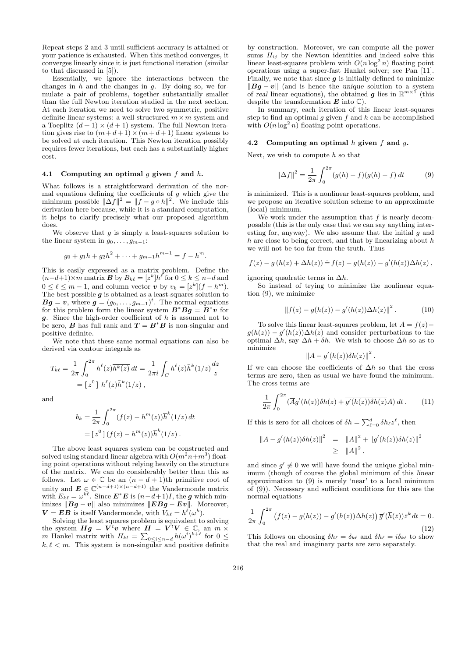Repeat steps 2 and 3 until sufficient accuracy is attained or your patience is exhausted. When this method converges, it converges linearly since it is just functional iteration (similar to that discussed in [5]).

Essentially, we ignore the interactions between the changes in  $h$  and the changes in  $g$ . By doing so, we formulate a pair of problems, together substantially smaller than the full Newton iteration studied in the next section. At each iteration we need to solve two symmetric, positive definite linear systems: a well-structured  $m \times m$  system and a Toeplitz  $(d+1) \times (d+1)$  system. The full Newton iteration gives rise to  $(m+d+1) \times (m+d+1)$  linear systems to be solved at each iteration. This Newton iteration possibly requires fewer iterations, but each has a substantially higher cost.

### 4.1 Computing an optimal  $q$  given  $f$  and  $h$ .

What follows is a straightforward derivation of the normal equations defining the coefficients of  $g$  which give the minimum possible  $\|\Delta f\|^2 = \|f - g \circ h\|^2$ . We include this derivation here because, while it is a standard computation, it helps to clarify precisely what our proposed algorithm does.

We observe that  $g$  is simply a least-squares solution to the linear system in  $g_0, \ldots, g_{m-1}$ :

$$
g_0 + g_1 h + g_2 h^2 + \dots + g_{m-1} h^{m-1} = f - h^m.
$$

This is easily expressed as a matrix problem. Define the  $(n-d+1)\times m$  matrix **B** by  $B_{k\ell} = [z^k]h^{\ell}$  for  $0 \le k \le n-d$  and  $0 \leq \ell \leq m-1$ , and column vector v by  $v_k = [z^k](f - h^m)$ . The best possible  $g$  is obtained as a least-squares solution to  $Bg = v$ , where  $g = (g_0, \ldots, g_{m-1})^t$ . The normal equations for this problem form the linear system  $B^*Bg = B^*v$  for  $g$ . Since the high-order coefficient of  $h$  is assumed not to be zero, **B** has full rank and  $T = B^*B$  is non-singular and positive definite.

We note that these same normal equations can also be derived via contour integrals as

$$
T_{k\ell} = \frac{1}{2\pi} \int_0^{2\pi} h^{\ell}(z) \overline{h^k(z)} dt = \frac{1}{2\pi i} \int_C h^{\ell}(z) \overline{h}^k(1/z) \frac{dz}{z}
$$
  
=  $[z^0] h^{\ell}(z) \overline{h}^k(1/z)$ ,

and

$$
b_k = \frac{1}{2\pi} \int_0^{2\pi} (f(z) - h^m(z)) \overline{h}^k(1/z) dt
$$
  
=  $[z^0] (f(z) - h^m(z)) \overline{h}^k(1/z).$ 

The above least squares system can be constructed and solved using standard linear algebra with  $O(m^2n+m^3)$  floating point operations without relying heavily on the structure of the matrix. We can do considerably better than this as follows. Let  $\omega \in \mathbb{C}$  be an  $(n - d + 1)$ th primitive root of unity and  $E \in \mathbb{C}^{(n-d+1)\times (n-d+1)}$  the Vandermonde matrix with  $E_{k\ell} = \omega^{k\ell}$ . Since  $\mathbf{E}^* \mathbf{E}$  is  $(n-d+1)I$ , the g which minimizes  $||Bg - v||$  also minimizes  $||EBg - Ev||$ . Moreover,  $\mathbf{V} = \mathbf{E} \mathbf{B}$  is itself Vandermonde, with  $V_{k\ell} = h^{\ell}(\omega^k)$ .

Solving the least squares problem is equivalent to solving the system  $Hg = V^t v$  where  $H = V^t V \in \mathbb{C}$ , an  $m \times$ m Hankel matrix with  $H_{kl} = \sum_{0 \leq i \leq n-d} h(\omega^i)^{k+\ell}$  for  $0 \leq$  $k, \ell < m$ . This system is non-singular and positive definite

by construction. Moreover, we can compute all the power sums  $H_{ij}$  by the Newton identities and indeed solve this linear least-squares problem with  $O(n \log^2 n)$  floating point operations using a super-fast Hankel solver; see Pan [11]. Finally, we note that since  $g$  is initially defined to minimize  $||Bg - v||$  (and is hence the unique solution to a system of real linear equations), the obtained g lies in  $\mathbb{R}^{m \times 1}$  (this despite the transformation  $E$  into  $\mathbb{C}$ ).

In summary, each iteration of this linear least-squares step to find an optimal g given f and h can be accomplished with  $O(n \log^2 n)$  floating point operations.

## 4.2 Computing an optimal  $h$  given  $f$  and  $g$ .

Next, we wish to compute  $h$  so that

$$
\|\Delta f\|^2 = \frac{1}{2\pi} \int_0^{2\pi} (\overline{g(h) - f})(g(h) - f) dt \tag{9}
$$

is minimized. This is a nonlinear least-squares problem, and we propose an iterative solution scheme to an approximate (local) minimum.

We work under the assumption that  $f$  is nearly decomposable (this is the only case that we can say anything interesting for, anyway). We also assume that the initial  $g$  and  $h$  are close to being correct, and that by linearizing about  $h$ we will not be too far from the truth. Thus

$$
f(z) - g(h(z) + \Delta h(z)) \doteq f(z) - g(h(z)) - g'(h(z)) \Delta h(z)
$$
,

ignoring quadratic terms in  $\Delta h$ .

So instead of trying to minimize the nonlinear equation (9), we minimize

$$
\|f(z) - g(h(z)) - g'(h(z))\Delta h(z)\|^2.
$$
 (10)

To solve this linear least-squares problem, let  $A = f(z)$  –  $g(h(z)) - g'(h(z))\Delta h(z)$  and consider perturbations to the optimal  $\Delta h$ , say  $\Delta h + \delta h$ . We wish to choose  $\Delta h$  so as to minimize  $\overline{2}$ 

$$
\left\|A-g'(h(z))\delta h(z)\right\|^2.
$$

If we can choose the coefficients of  $\Delta h$  so that the cross terms are zero, then as usual we have found the minimum. The cross terms are

$$
\frac{1}{2\pi} \int_0^{2\pi} (\overline{A}g'(h(z))\delta h(z) + \overline{g'(h(z))\delta h(z)}A) dt.
$$
 (11)

If this is zero for all choices of  $\delta h = \sum_{\ell=0}^d \delta h_\ell z^\ell$ , then

$$
||A - g'(h(z))\delta h(z)||^2 = ||A||^2 + ||g'(h(z))\delta h(z)||^2
$$
  
 
$$
\ge ||A||^2,
$$

and since  $g' \neq 0$  we will have found the unique global minimum (though of course the global minimum of this linear approximation to (9) is merely 'near' to a local minimum of (9)). Necessary and sufficient conditions for this are the normal equations

$$
\frac{1}{2\pi} \int_0^{2\pi} \left( f(z) - g(h(z)) - g'(h(z)) \Delta h(z) \right) \overline{g}'(\overline{h}(\overline{z})) \overline{z}^k dt = 0.
$$
\n(12)

This follows on choosing  $\delta h_\ell = \delta_{k\ell}$  and  $\delta h_\ell = i\delta_{k\ell}$  to show that the real and imaginary parts are zero separately.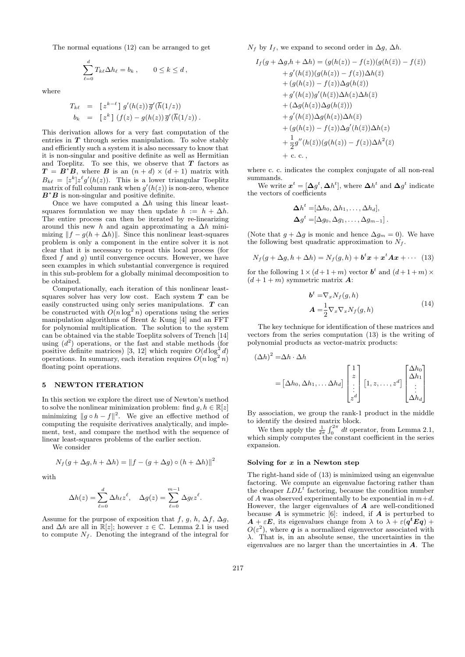The normal equations (12) can be arranged to get

$$
\sum_{\ell=0}^d T_{k\ell} \Delta h_\ell = b_k \,, \qquad 0 \le k \le d \,,
$$

where

$$
T_{k\ell} = [z^{k-\ell}] g'(h(z)) \overline{g}'(\overline{h}(1/z))
$$
  
\n
$$
b_k = [z^k] (f(z) - g(h(z)) \overline{g}'(\overline{h}(1/z)) .
$$

This derivation allows for a very fast computation of the entries in  $T$  through series manipulation. To solve stably and efficiently such a system it is also necessary to know that it is non-singular and positive definite as well as Hermitian and Toeplitz. To see this, we observe that  $T$  factors as  $T = B^*B$ , where B is an  $(n + d) \times (d + 1)$  matrix with  $B_{k\ell} = [z^k] z^{\ell} g'(h(z))$ . This is a lower triangular Toeplitz matrix of full column rank when  $g'(h(z))$  is non-zero, whence  $B^*B$  is non-singular and positive definite.

Once we have computed a  $\Delta h$  using this linear leastsquares formulation we may then update  $h := h + \Delta h$ . The entire process can then be iterated by re-linearizing around this new h and again approximating a  $\Delta h$  minimizing  $||f - g(h + \Delta h)||$ . Since this nonlinear least-squares problem is only a component in the entire solver it is not clear that it is necessary to repeat this local process (for fixed  $f$  and  $g$ ) until convergence occurs. However, we have seen examples in which substantial convergence is required in this sub-problem for a globally minimal decomposition to be obtained.

Computationally, each iteration of this nonlinear leastsquares solver has very low cost. Each system  $T$  can be easily constructed using only series manipulations. T can be constructed with  $O(n \log^2 n)$  operations using the series manipulation algorithms of Brent & Kung [4] and an FFT for polynomial multiplication. The solution to the system can be obtained via the stable Toeplitz solvers of Trench [14] using  $(d<sup>2</sup>)$  operations, or the fast and stable methods (for positive definite matrices) [3, 12] which require  $O(d \log^2 d)$ operations. In summary, each iteration requires  $O(n \log^2 n)$ floating point operations.

#### 5 NEWTON ITERATION

In this section we explore the direct use of Newton's method to solve the nonlinear minimization problem: find  $q, h \in \mathbb{R}[z]$ minimizing  $||g \circ h - f||^2$ . We give an effective method of computing the requisite derivatives analytically, and implement, test, and compare the method with the sequence of linear least-squares problems of the earlier section.

We consider

$$
N_f(g + \Delta g, h + \Delta h) = ||f - (g + \Delta g) \circ (h + \Delta h)||^2
$$

with

$$
\Delta h(z) = \sum_{\ell=0}^d \Delta h_\ell z^\ell, \quad \Delta g(z) = \sum_{\ell=0}^{m-1} \Delta g_\ell z^\ell.
$$

Assume for the purpose of exposition that f, g, h,  $\Delta f$ ,  $\Delta q$ , and  $\Delta h$  are all in  $\mathbb{R}[z]$ ; however  $z \in \mathbb{C}$ . Lemma 2.1 is used to compute  $N_f$ . Denoting the integrand of the integral for  $N_f$  by  $I_f$ , we expand to second order in  $\Delta g$ ,  $\Delta h$ .

$$
I_f(g + \Delta g, h + \Delta h) = (g(h(z)) - f(z))(g(h(\bar{z})) - f(\bar{z}))
$$
  
+  $g'(h(\bar{z}))(g(h(z)) - f(z))\Delta h(\bar{z})$   
+  $(g(h(z)) - f(z))\Delta g(h(\bar{z}))$   
+  $g'(h(z))g'(h(\bar{z}))\Delta h(z)\Delta h(\bar{z})$   
+  $(\Delta g(h(z))\Delta g(h(\bar{z})))$   
+  $g'(h(\bar{z}))\Delta g(h(z))\Delta h(\bar{z})$   
+  $(g(h(z)) - f(z))\Delta g'(h(\bar{z}))\Delta h(z)$   
+  $\frac{1}{2}g''(h(\bar{z}))(g(h(z)) - f(z))\Delta h^2(\bar{z})$   
+ c. c.,

where c. c. indicates the complex conjugate of all non-real summands.

We write  $\boldsymbol{x}^t = [\Delta g^t, \Delta h^t]$ , where  $\Delta h^t$  and  $\Delta g^t$  indicate the vectors of coefficients

$$
\Delta h^t = [\Delta h_0, \Delta h_1, \dots, \Delta h_d],
$$
  

$$
\Delta g^t = [\Delta g_0, \Delta g_1, \dots, \Delta g_{m-1}].
$$

(Note that  $g + \Delta g$  is monic and hence  $\Delta g_m = 0$ ). We have the following best quadratic approximation to  $N_f$ .

$$
N_f(g + \Delta g, h + \Delta h) = N_f(g, h) + b^t x + x^t A x + \cdots
$$
 (13)

for the following  $1 \times (d + 1 + m)$  vector  $b^t$  and  $(d + 1 + m) \times$  $(d+1+m)$  symmetric matrix **A**:

$$
b^{t} = \nabla_{x} N_{f}(g, h)
$$
  

$$
A = \frac{1}{2} \nabla_{x} \nabla_{x} N_{f}(g, h)
$$
 (14)

The key technique for identification of these matrices and vectors from the series computation (13) is the writing of polynomial products as vector-matrix products:

$$
(\Delta h)^2 = \Delta h \cdot \Delta h
$$
  
=  $[\Delta h_0, \Delta h_1, \dots \Delta h_d]$ 
$$
\begin{bmatrix} 1 \\ z \\ \vdots \\ z^d \end{bmatrix} [1, z, \dots, z^d] \begin{bmatrix} \Delta h_0 \\ \Delta h_1 \\ \vdots \\ \Delta h_d \end{bmatrix}
$$

By association, we group the rank-1 product in the middle to identify the desired matrix block.

We then apply the  $\frac{1}{2\pi} \int_0^{2\pi} dt$  operator, from Lemma 2.1, which simply computes the constant coefficient in the series expansion.

#### Solving for  $x$  in a Newton step

The right-hand side of (13) is minimized using an eigenvalue factoring. We compute an eigenvalue factoring rather than the cheaper  $LDL<sup>t</sup>$  factoring, because the condition number of A was observed experimentally to be exponential in  $m+d$ . However, the larger eigenvalues of  $A$  are well-conditioned because  $\boldsymbol{A}$  is symmetric [6]: indeed, if  $\boldsymbol{A}$  is perturbed to  $A + \varepsilon E$ , its eigenvalues change from  $\lambda$  to  $\lambda + \varepsilon (q^t E q)$  +  $O(\varepsilon$ <sup>2</sup>), where  $q$  is a normalized eigenvector associated with λ. That is, in an absolute sense, the uncertainties in the eigenvalues are no larger than the uncertainties in  $A$ . The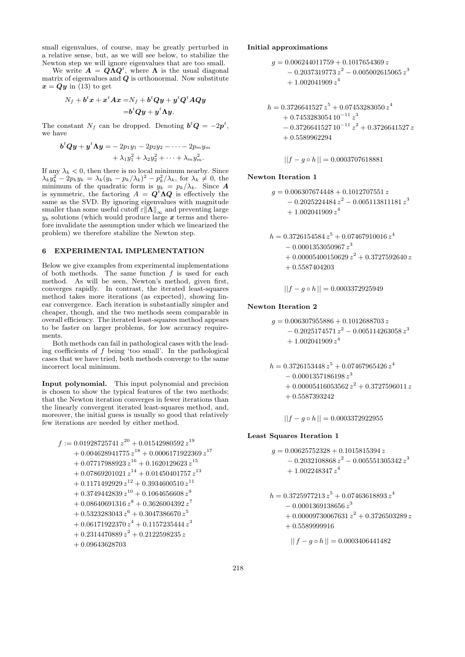small eigenvalues, of course, may be greatly perturbed in a relative sense, but, as we will see below, to stabilize the Newton step we will ignore eigenvalues that are too small.

We write  $A = Q \Lambda Q^t$ , where  $\Lambda$  is the usual diagonal matrix of eigenvalues and  $Q$  is orthonormal. Now substitute  $x = Qy$  in (13) to get

$$
N_f+b^t x+x^t A x = N_f+b^t Q y+y^t Q^t A Q y
$$
  
= $b^t Q y+y^t A y$ .

The constant  $N_f$  can be dropped. Denoting  $\mathbf{b}^t \mathbf{Q} = -2\mathbf{p}^t$ , we have

$$
btQy + yt \Lambda y = -2p_1y_1 - 2p_2y_2 - \cdots - 2p_my_m
$$
  
+  $\lambda_1y_1^2 + \lambda_2y_2^2 + \cdots + \lambda_my_m^2$ .

If any  $\lambda_k < 0$ , then there is no local minimum nearby. Since  $\lambda_k y_k^2 - 2p_k y_k = \lambda_k (y_k - p_k/\lambda_k)^2 - p_k^2/\lambda_k$ , for  $\lambda_k \neq 0$ , the minimum of the quadratic form is  $y_k = p_k/\lambda_k$ . Since A is symmetric, the factoring  $A = Q^t \Lambda Q$  is effectively the same as the SVD. By ignoring eigenvalues with magnitude smaller than some useful cutoff  $\varepsilon \|\mathbf{\Lambda}\|_{\infty}$  and preventing large  $y_k$  solutions (which would produce large x terms and therefore invalidate the assumption under which we linearized the problem) we therefore stabilize the Newton step.

## 6 EXPERIMENTAL IMPLEMENTATION

Below we give examples from experimental implementations of both methods. The same function  $f$  is used for each method. As will be seen, Newton's method, given first, converges rapidly. In contrast, the iterated least-squares method takes more iterations (as expected), showing linear convergence. Each iteration is substantially simpler and cheaper, though, and the two methods seem comparable in overall efficiency. The iterated least-squares method appears to be faster on larger problems, for low accuracy requirements.

Both methods can fail in pathological cases with the leading coefficients of  $f$  being 'too small'. In the pathological cases that we have tried, both methods converge to the same incorrect local minimum.

Input polynomial. This input polynomial and precision is chosen to show the typical features of the two methods: that the Newton iteration converges in fewer iterations than the linearly convergent iterated least-squares method, and, moreover, the initial guess is usually so good that relatively few iterations are needed by either method.

$$
f:=0.01928725741\,{z}^{20}+0.01542980592\,{z}^{19}\\+0.004628941775\,{z}^{18}+0.0006171922369\,{z}^{17}\\+0.07717988923\,{z}^{16}+0.1620129623\,{z}^{15}\\+0.07869201021\,{z}^{14}+0.01450401757\,{z}^{13}\\+0.1171492929\,{z}^{12}+0.3934600510\,{z}^{11}\\+0.3749442839\,{z}^{10}+0.1064656608\,{z}^{9}\\+0.08640691316\,{z}^{8}+0.3626004392\,{z}^{7}\\+0.5323283043\,{z}^{6}+0.3047386670\,{z}^{5}\\+0.06171922370\,{z}^{4}+0.1157235444\,{z}^{3}\\+0.2314470889\,{z}^{2}+0.2122598235\,{z}\\+0.09643628703
$$

## Initial approximations

$$
\begin{aligned} g &= 0.006244011759 + 0.1017654369 \, z \\ &\quad - 0.2037319773 \, z^2 - 0.005002615065 \, z^3 \\ &\quad + 1.002041909 \, z^4 \end{aligned}
$$

$$
h = 0.3726641527 z5 + 0.07453283050 z4+ 0.7453283054 10-11 z3- 0.3726641527 10-11 z2 + 0.3726641527 z+ 0.5589962294
$$

$$
||f - g \circ h|| = 0.0003707618881
$$

#### Newton Iteration 1

$$
g = 0.006307674448 + 0.1012707551 z
$$
  
- 0.2025224484 z<sup>2</sup> - 0.005113811181 z<sup>3</sup>  
+ 1.002041909 z<sup>4</sup>

$$
h = 0.3726154584 z5 + 0.07467910016 z4- 0.0001353050967 z3+ 0.00005400150629 z2 + 0.3727592640 z+ 0.5587404203
$$

$$
||f - g \circ h|| = 0.0003372925949
$$

## Newton Iteration 2

$$
g = 0.006307955886 + 0.1012688703 z
$$
  
- 0.2025174571 z<sup>2</sup> - 0.005114263058 z<sup>3</sup>  
+ 1.002041909 z<sup>4</sup>

$$
h = 0.3726153448 z5 + 0.07467965426 z4- 0.0001357186198 z3+ 0.00005416053562 z2 + 0.3727596011 z+ 0.5587393242
$$

$$
||f - g \circ h|| = 0.0003372922955
$$

### Least Squares Iteration 1

$$
\begin{aligned} g &= 0.00625752328 + 0.1015815394\,z \\ &\quad - 0.2032108868\,z^2 - 0.005551305342\,z^3 \\ &\quad + 1.002248347\,z^4 \end{aligned}
$$
\n
$$
\begin{aligned} h &= 0.3725977213\,z^5 + 0.07463618893\,z^4 \\ &\quad - 0.0001369138656\,z^3 \\ &\quad + 0.00009730067631\,z^2 + 0.3726503289\,z \end{aligned}
$$

 $+ 0.5589999916$ 

$$
|| f - g \circ h || = 0.0003406441482
$$